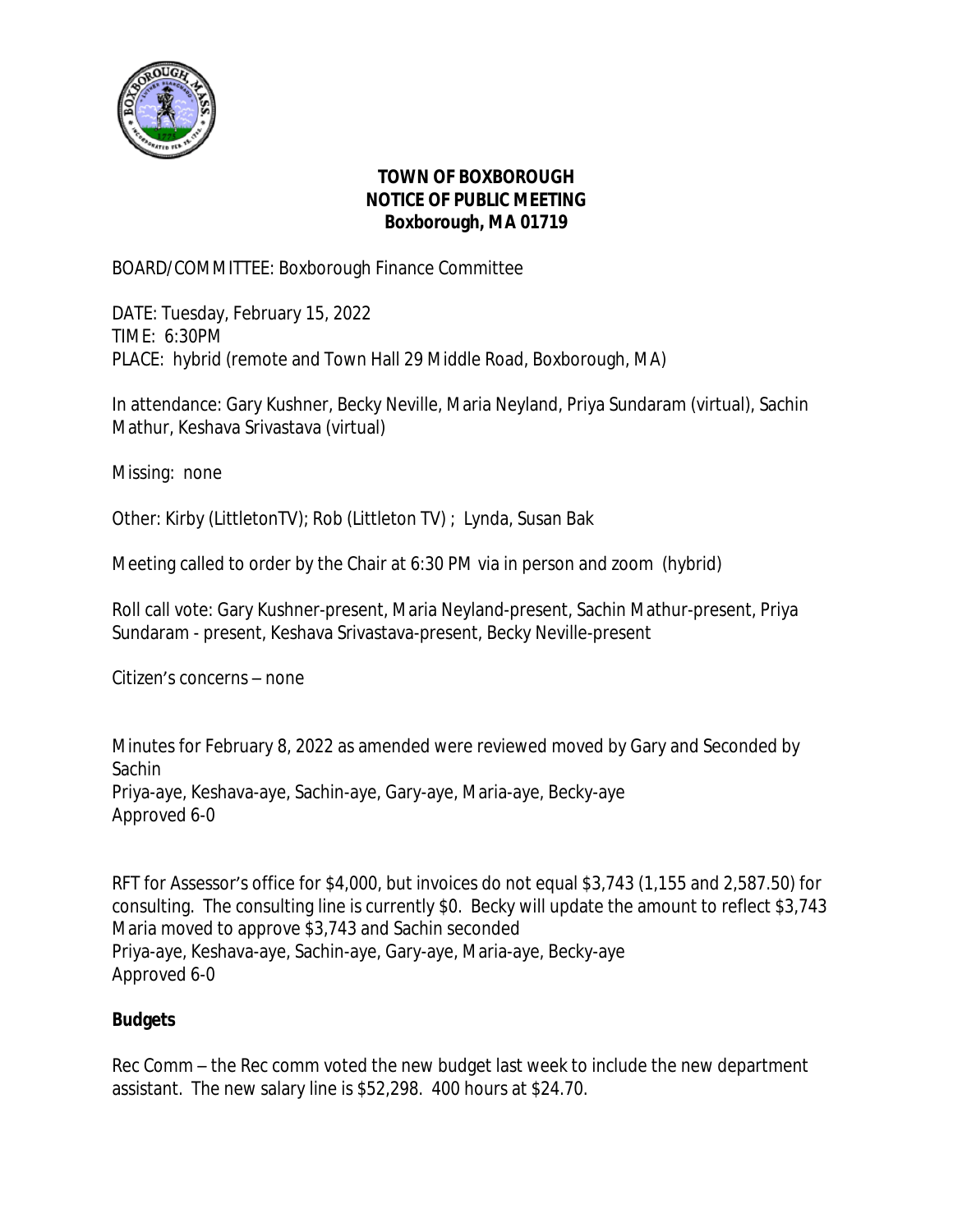

## **TOWN OF BOXBOROUGH NOTICE OF PUBLIC MEETING Boxborough, MA 01719**

BOARD/COMMITTEE: Boxborough Finance Committee

DATE: Tuesday, February 15, 2022 TIME: 6:30PM PLACE: hybrid (remote and Town Hall 29 Middle Road, Boxborough, MA)

In attendance: Gary Kushner, Becky Neville, Maria Neyland, Priya Sundaram (virtual), Sachin Mathur, Keshava Srivastava (virtual)

Missing: none

Other: Kirby (LittletonTV); Rob (Littleton TV) ; Lynda, Susan Bak

Meeting called to order by the Chair at 6:30 PM via in person and zoom (hybrid)

Roll call vote: Gary Kushner-present, Maria Neyland-present, Sachin Mathur-present, Priya Sundaram - present, Keshava Srivastava-present, Becky Neville-present

Citizen's concerns – none

Minutes for February 8, 2022 as amended were reviewed moved by Gary and Seconded by Sachin Priya-aye, Keshava-aye, Sachin-aye, Gary-aye, Maria-aye, Becky-aye Approved 6-0

RFT for Assessor's office for \$4,000, but invoices do not equal \$3,743 (1,155 and 2,587.50) for consulting. The consulting line is currently \$0. Becky will update the amount to reflect \$3,743 Maria moved to approve \$3,743 and Sachin seconded Priya-aye, Keshava-aye, Sachin-aye, Gary-aye, Maria-aye, Becky-aye Approved 6-0

## **Budgets**

Rec Comm – the Rec comm voted the new budget last week to include the new department assistant. The new salary line is \$52,298. 400 hours at \$24.70.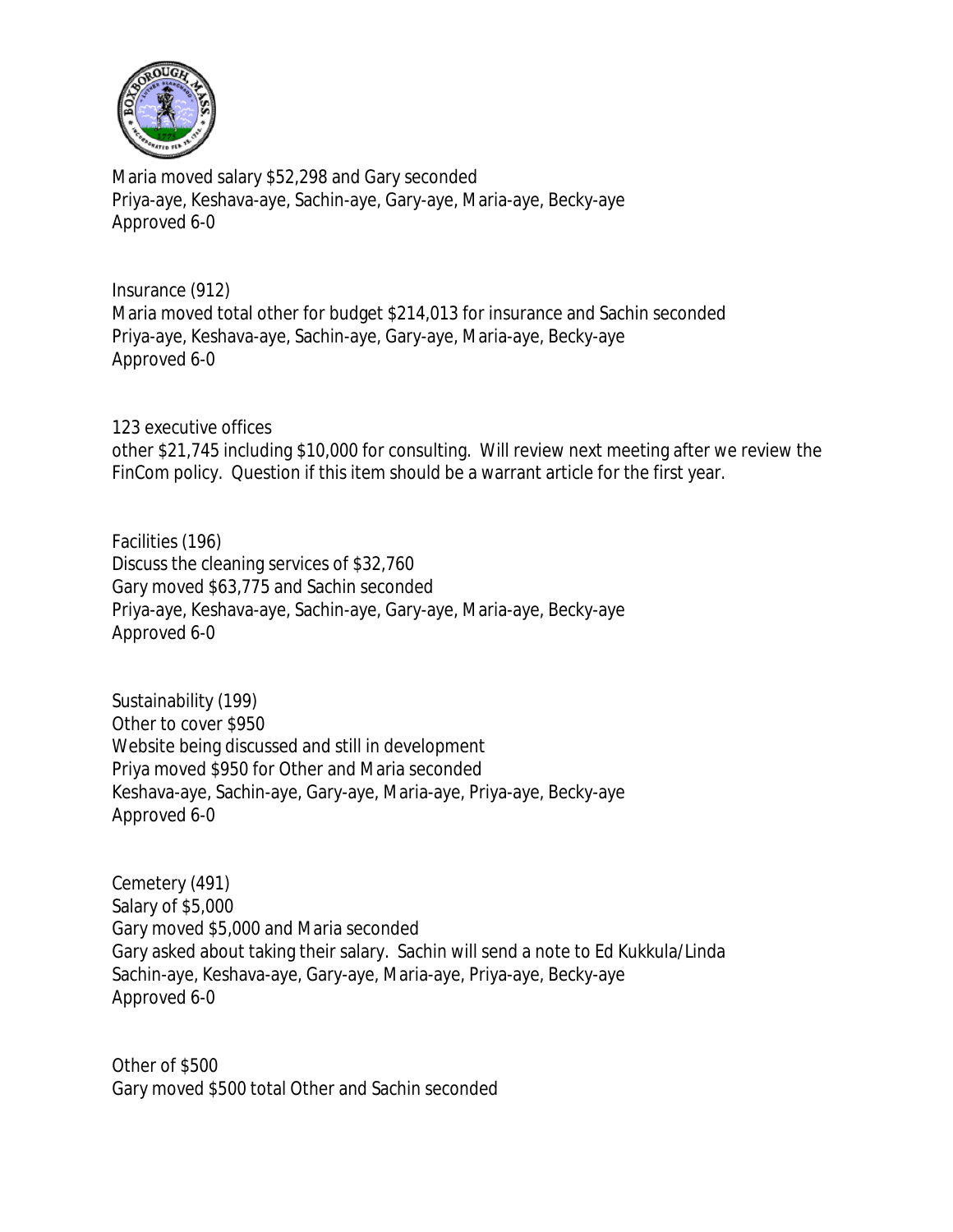

Maria moved salary \$52,298 and Gary seconded Priya-aye, Keshava-aye, Sachin-aye, Gary-aye, Maria-aye, Becky-aye Approved 6-0

Insurance (912) Maria moved total other for budget \$214,013 for insurance and Sachin seconded Priya-aye, Keshava-aye, Sachin-aye, Gary-aye, Maria-aye, Becky-aye Approved 6-0

123 executive offices other \$21,745 including \$10,000 for consulting. Will review next meeting after we review the FinCom policy. Question if this item should be a warrant article for the first year.

Facilities (196) Discuss the cleaning services of \$32,760 Gary moved \$63,775 and Sachin seconded Priya-aye, Keshava-aye, Sachin-aye, Gary-aye, Maria-aye, Becky-aye Approved 6-0

Sustainability (199) Other to cover \$950 Website being discussed and still in development Priya moved \$950 for Other and Maria seconded Keshava-aye, Sachin-aye, Gary-aye, Maria-aye, Priya-aye, Becky-aye Approved 6-0

Cemetery (491) Salary of \$5,000 Gary moved \$5,000 and Maria seconded Gary asked about taking their salary. Sachin will send a note to Ed Kukkula/Linda Sachin-aye, Keshava-aye, Gary-aye, Maria-aye, Priya-aye, Becky-aye Approved 6-0

Other of \$500 Gary moved \$500 total Other and Sachin seconded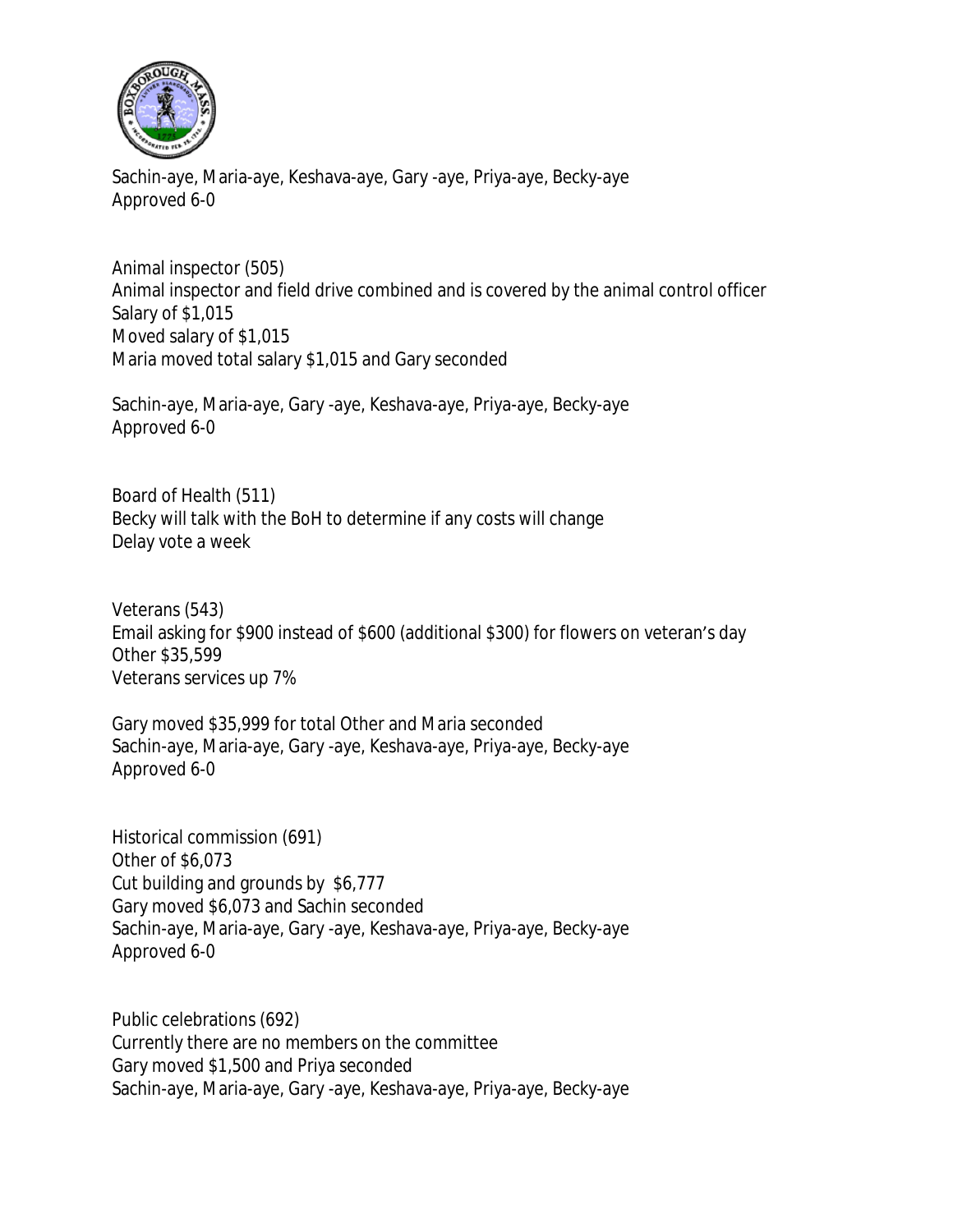

Sachin-aye, Maria-aye, Keshava-aye, Gary -aye, Priya-aye, Becky-aye Approved 6-0

Animal inspector (505) Animal inspector and field drive combined and is covered by the animal control officer Salary of \$1,015 Moved salary of \$1,015 Maria moved total salary \$1,015 and Gary seconded

Sachin-aye, Maria-aye, Gary -aye, Keshava-aye, Priya-aye, Becky-aye Approved 6-0

Board of Health (511) Becky will talk with the BoH to determine if any costs will change Delay vote a week

Veterans (543) Email asking for \$900 instead of \$600 (additional \$300) for flowers on veteran's day Other \$35,599 Veterans services up 7%

Gary moved \$35,999 for total Other and Maria seconded Sachin-aye, Maria-aye, Gary -aye, Keshava-aye, Priya-aye, Becky-aye Approved 6-0

Historical commission (691) Other of \$6,073 Cut building and grounds by \$6,777 Gary moved \$6,073 and Sachin seconded Sachin-aye, Maria-aye, Gary -aye, Keshava-aye, Priya-aye, Becky-aye Approved 6-0

Public celebrations (692) Currently there are no members on the committee Gary moved \$1,500 and Priya seconded Sachin-aye, Maria-aye, Gary -aye, Keshava-aye, Priya-aye, Becky-aye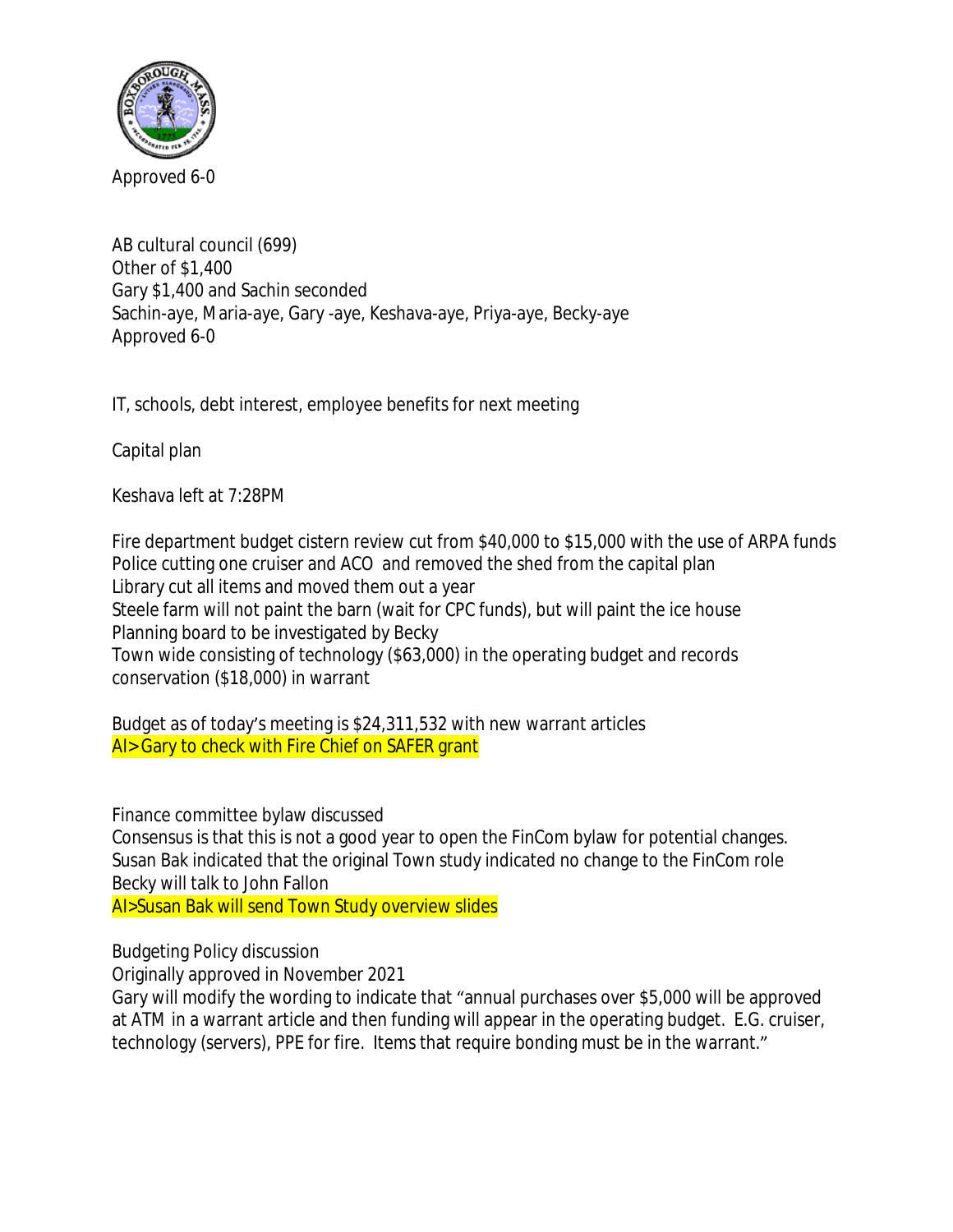

AB cultural council (699) Other of \$1,400 Gary \$1,400 and Sachin seconded Sachin-aye, Maria-aye, Gary -aye, Keshava-aye, Priya-aye, Becky-aye Approved 6-0

IT, schools, debt interest, employee benefits for next meeting

Capital plan

Keshava left at 7:28PM

Fire department budget cistern review cut from \$40,000 to \$15,000 with the use of ARPA funds Police cutting one cruiser and ACO and removed the shed from the capital plan Library cut all items and moved them out a year Steele farm will not paint the barn (wait for CPC funds), but will paint the ice house Planning board to be investigated by Becky Town wide consisting of technology (\$63,000) in the operating budget and records conservation (\$18,000) in warrant

Budget as of today's meeting is \$24,311,532 with new warrant articles AI> Gary to check with Fire Chief on SAFER grant

Finance committee bylaw discussed

Consensus is that this is not a good year to open the FinCom bylaw for potential changes. Susan Bak indicated that the original Town study indicated no change to the FinCom role Becky will talk to John Fallon

AI>Susan Bak will send Town Study overview slides

Budgeting Policy discussion

Originally approved in November 2021

Gary will modify the wording to indicate that "annual purchases over \$5,000 will be approved at ATM in a warrant article and then funding will appear in the operating budget. E.G. cruiser, technology (servers), PPE for fire. Items that require bonding must be in the warrant."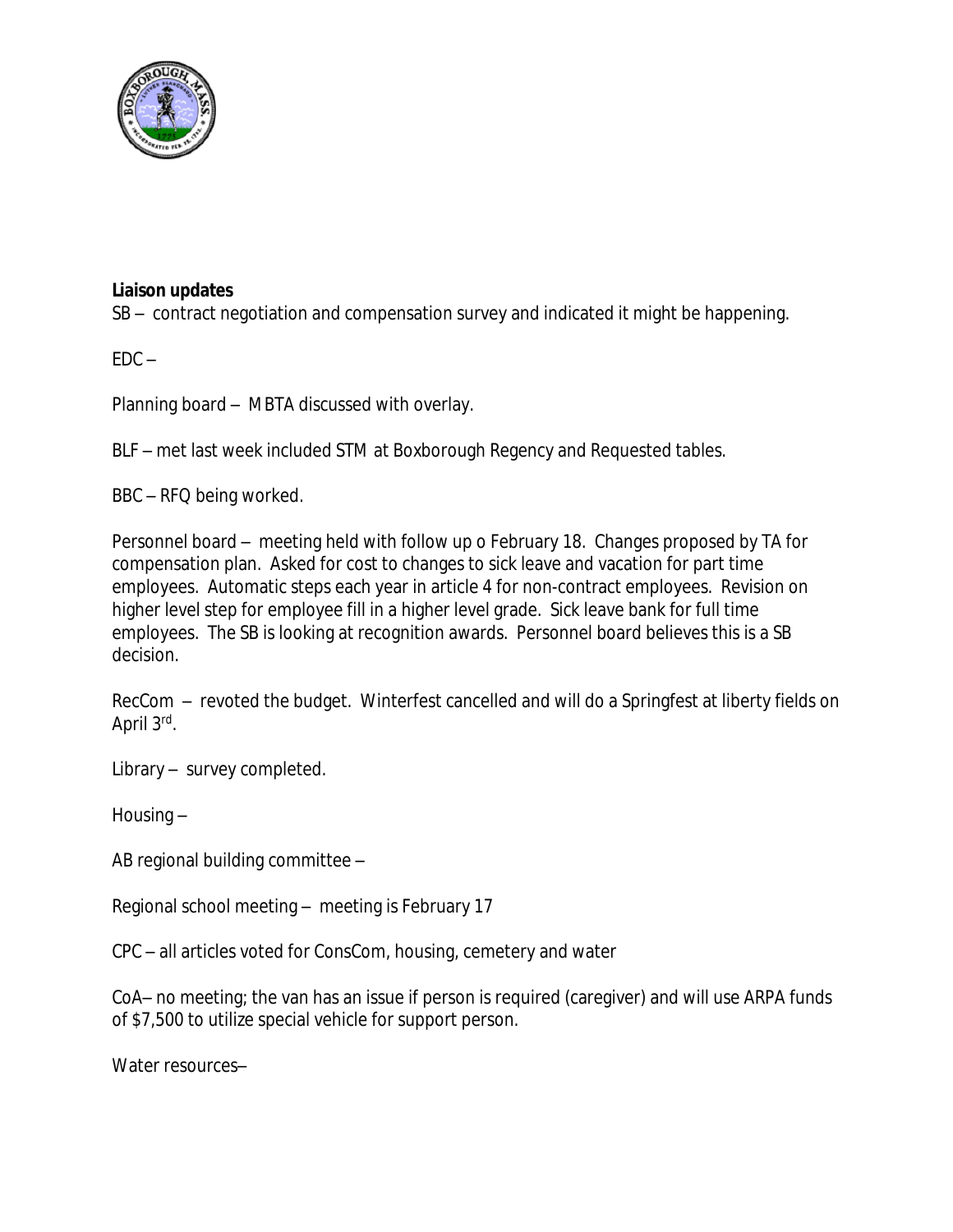

## **Liaison updates**

SB – contract negotiation and compensation survey and indicated it might be happening.

 $FDC -$ 

Planning board – MBTA discussed with overlay.

BLF – met last week included STM at Boxborough Regency and Requested tables.

BBC – RFQ being worked.

Personnel board – meeting held with follow up o February 18. Changes proposed by TA for compensation plan. Asked for cost to changes to sick leave and vacation for part time employees. Automatic steps each year in article 4 for non-contract employees. Revision on higher level step for employee fill in a higher level grade. Sick leave bank for full time employees. The SB is looking at recognition awards. Personnel board believes this is a SB decision.

RecCom – revoted the budget. Winterfest cancelled and will do a Springfest at liberty fields on April 3rd.

Library – survey completed.

Housing –

AB regional building committee –

Regional school meeting – meeting is February 17

CPC – all articles voted for ConsCom, housing, cemetery and water

CoA– no meeting; the van has an issue if person is required (caregiver) and will use ARPA funds of \$7,500 to utilize special vehicle for support person.

Water resources–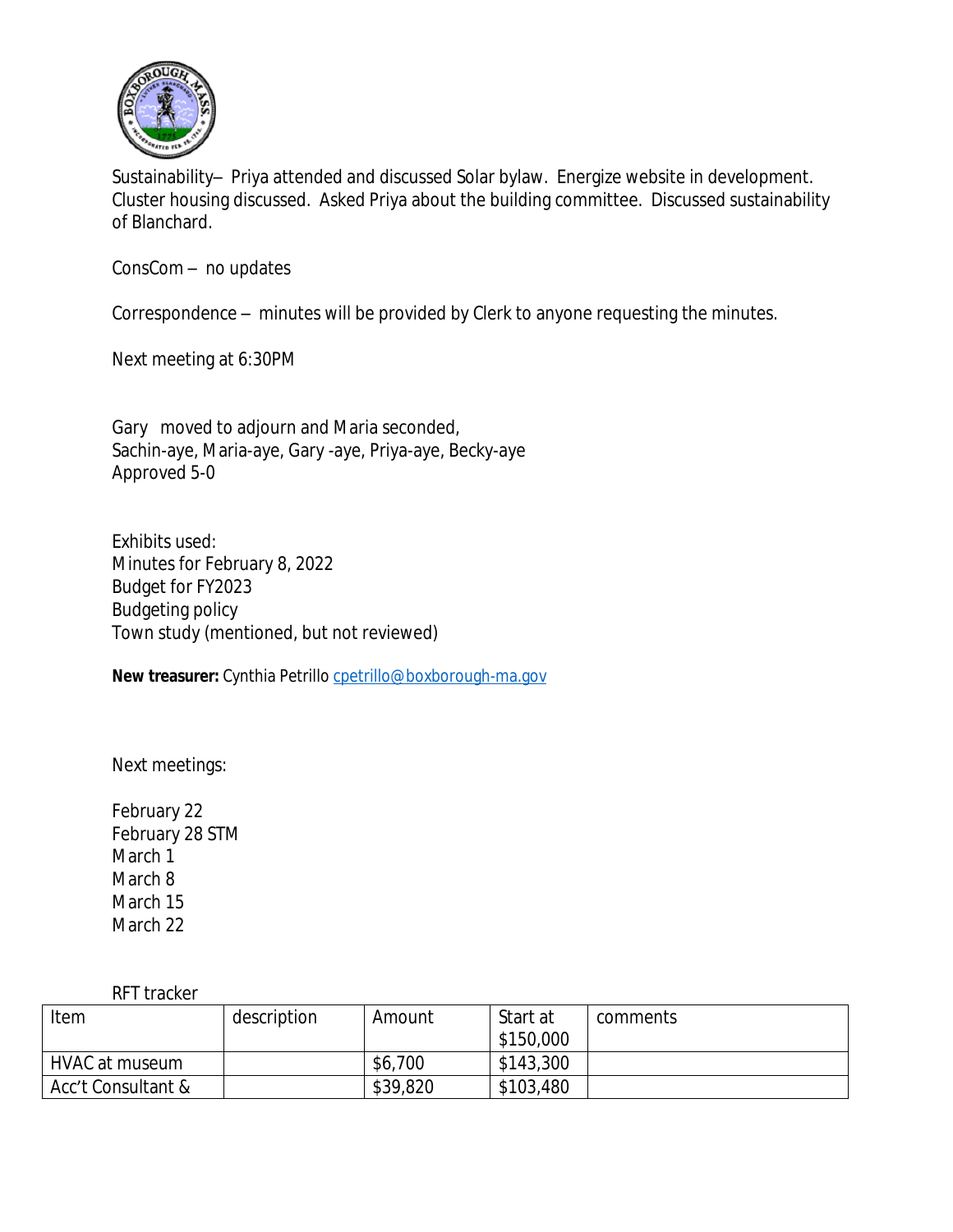

Sustainability– Priya attended and discussed Solar bylaw. Energize website in development. Cluster housing discussed. Asked Priya about the building committee. Discussed sustainability of Blanchard.

ConsCom – no updates

Correspondence – minutes will be provided by Clerk to anyone requesting the minutes.

Next meeting at 6:30PM

Gary moved to adjourn and Maria seconded, Sachin-aye, Maria-aye, Gary -aye, Priya-aye, Becky-aye Approved 5-0

Exhibits used: Minutes for February 8, 2022 Budget for FY2023 Budgeting policy Town study (mentioned, but not reviewed)

**New treasurer:** Cynthia Petrillo [cpetrillo@boxborough-ma.gov](mailto:cpetrillo@boxborough-ma.gov)

[Next meetings:](mailto:cpetrillo@boxborough-ma.gov)

[February](mailto:cpetrillo@boxborough-ma.gov) [22](mailto:cpetrillo@boxborough-ma.gov) [February](mailto:cpetrillo@boxborough-ma.gov) [28 STM](mailto:cpetrillo@boxborough-ma.gov) [March 1](mailto:cpetrillo@boxborough-ma.gov) [March 8](mailto:cpetrillo@boxborough-ma.gov) [March 15](mailto:cpetrillo@boxborough-ma.gov) [March 22](mailto:cpetrillo@boxborough-ma.gov)

[RFT tracker](mailto:cpetrillo@boxborough-ma.gov)

| Item               | description | Amount   | Start at  | comments |
|--------------------|-------------|----------|-----------|----------|
|                    |             |          | \$150,000 |          |
| HVAC at museum     |             | \$6,700  | \$143,300 |          |
| Acc't Consultant & |             | \$39,820 | \$103,480 |          |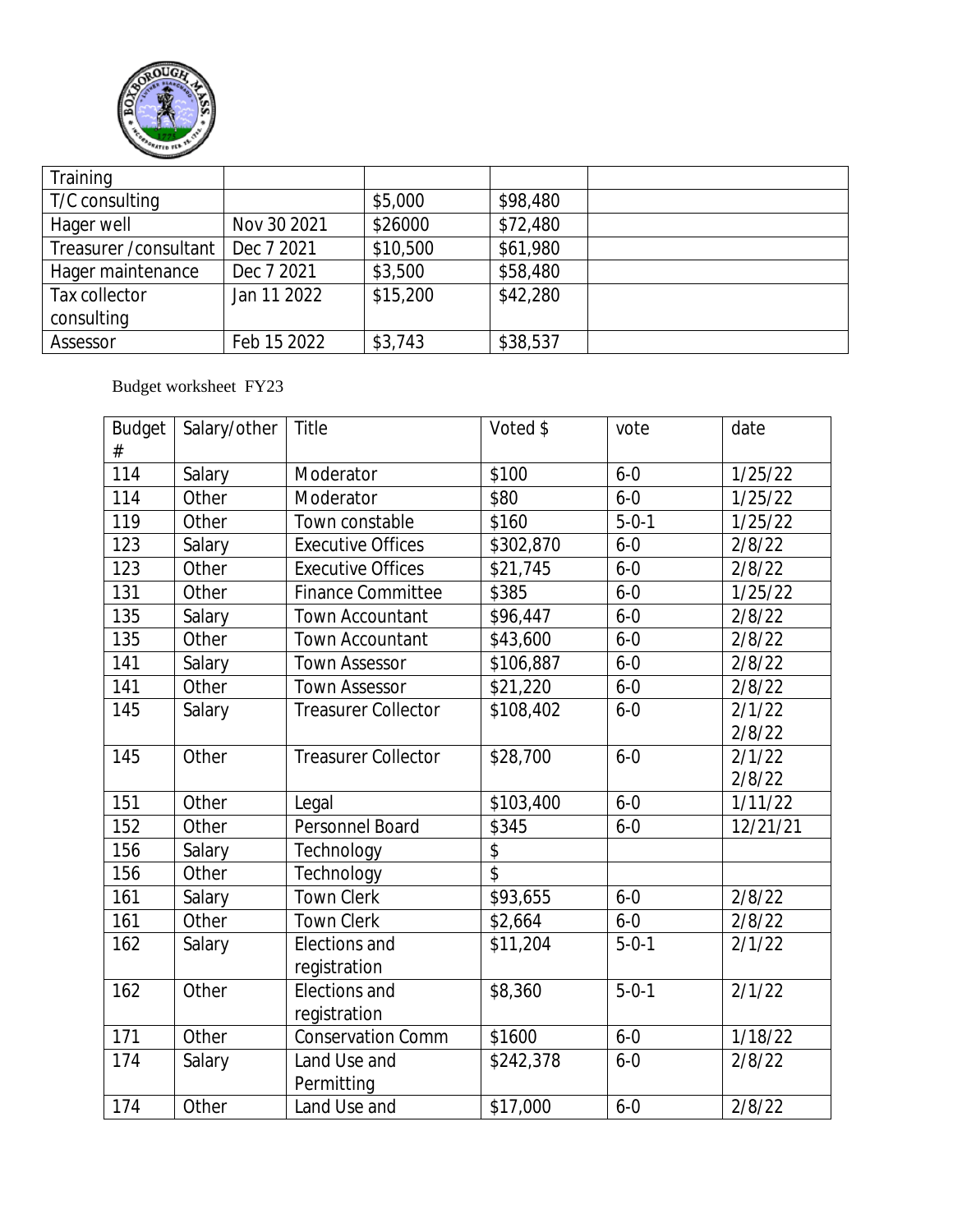

| Training               |             |          |          |  |
|------------------------|-------------|----------|----------|--|
| T/C consulting         |             | \$5,000  | \$98,480 |  |
| Hager well             | Nov 30 2021 | \$26000  | \$72,480 |  |
| Treasurer / consultant | Dec 7 2021  | \$10,500 | \$61,980 |  |
| Hager maintenance      | Dec 7 2021  | \$3,500  | \$58,480 |  |
| Tax collector          | Jan 11 2022 | \$15,200 | \$42,280 |  |
| consulting             |             |          |          |  |
| Assessor               | Feb 15 2022 | \$3,743  | \$38,537 |  |

## Budget worksheet FY23

| <b>Budget</b><br># | Salary/other | Title                      | Voted \$        | vote        | date     |
|--------------------|--------------|----------------------------|-----------------|-------------|----------|
| 114                | Salary       | Moderator                  | \$100           | $6 - 0$     | 1/25/22  |
| 114                | Other        | Moderator                  | \$80            | $6 - 0$     | 1/25/22  |
| 119                | Other        | Town constable             | \$160           | $5 - 0 - 1$ | 1/25/22  |
| 123                | Salary       | <b>Executive Offices</b>   | \$302,870       | $6 - 0$     | 2/8/22   |
| 123                | Other        | <b>Executive Offices</b>   | \$21,745        | $6 - 0$     | 2/8/22   |
| 131                | Other        | <b>Finance Committee</b>   | \$385           | $6 - 0$     | 1/25/22  |
| 135                | Salary       | Town Accountant            | \$96,447        | $6 - 0$     | 2/8/22   |
| 135                | Other        | <b>Town Accountant</b>     | \$43,600        | $6 - 0$     | 2/8/22   |
| 141                | Salary       | <b>Town Assessor</b>       | \$106,887       | $6 - 0$     | 2/8/22   |
| 141                | Other        | <b>Town Assessor</b>       | \$21,220        | $6 - 0$     | 2/8/22   |
| 145                | Salary       | <b>Treasurer Collector</b> | \$108,402       | $6 - 0$     | 2/1/22   |
|                    |              |                            |                 |             | 2/8/22   |
| 145                | Other        | <b>Treasurer Collector</b> | \$28,700        | $6 - 0$     | 2/1/22   |
|                    |              |                            |                 |             | 2/8/22   |
| 151                | Other        | Legal                      | \$103,400       | $6 - 0$     | 1/11/22  |
| 152                | Other        | Personnel Board            | \$345           | $6 - 0$     | 12/21/21 |
| 156                | Salary       | Technology                 | \$              |             |          |
| 156                | Other        | Technology                 | $\overline{\$}$ |             |          |
| 161                | Salary       | <b>Town Clerk</b>          | \$93,655        | $6 - 0$     | 2/8/22   |
| 161                | Other        | <b>Town Clerk</b>          | \$2,664         | $6 - 0$     | 2/8/22   |
| 162                | Salary       | Elections and              | \$11,204        | $5 - 0 - 1$ | 2/1/22   |
|                    |              | registration               |                 |             |          |
| 162                | Other        | <b>Elections and</b>       | \$8,360         | $5 - 0 - 1$ | 2/1/22   |
|                    |              | registration               |                 |             |          |
| 171                | Other        | <b>Conservation Comm</b>   | \$1600          | $6 - 0$     | 1/18/22  |
| 174                | Salary       | Land Use and               | \$242,378       | $6 - 0$     | 2/8/22   |
|                    |              | Permitting                 |                 |             |          |
| 174                | Other        | Land Use and               | \$17,000        | $6 - 0$     | 2/8/22   |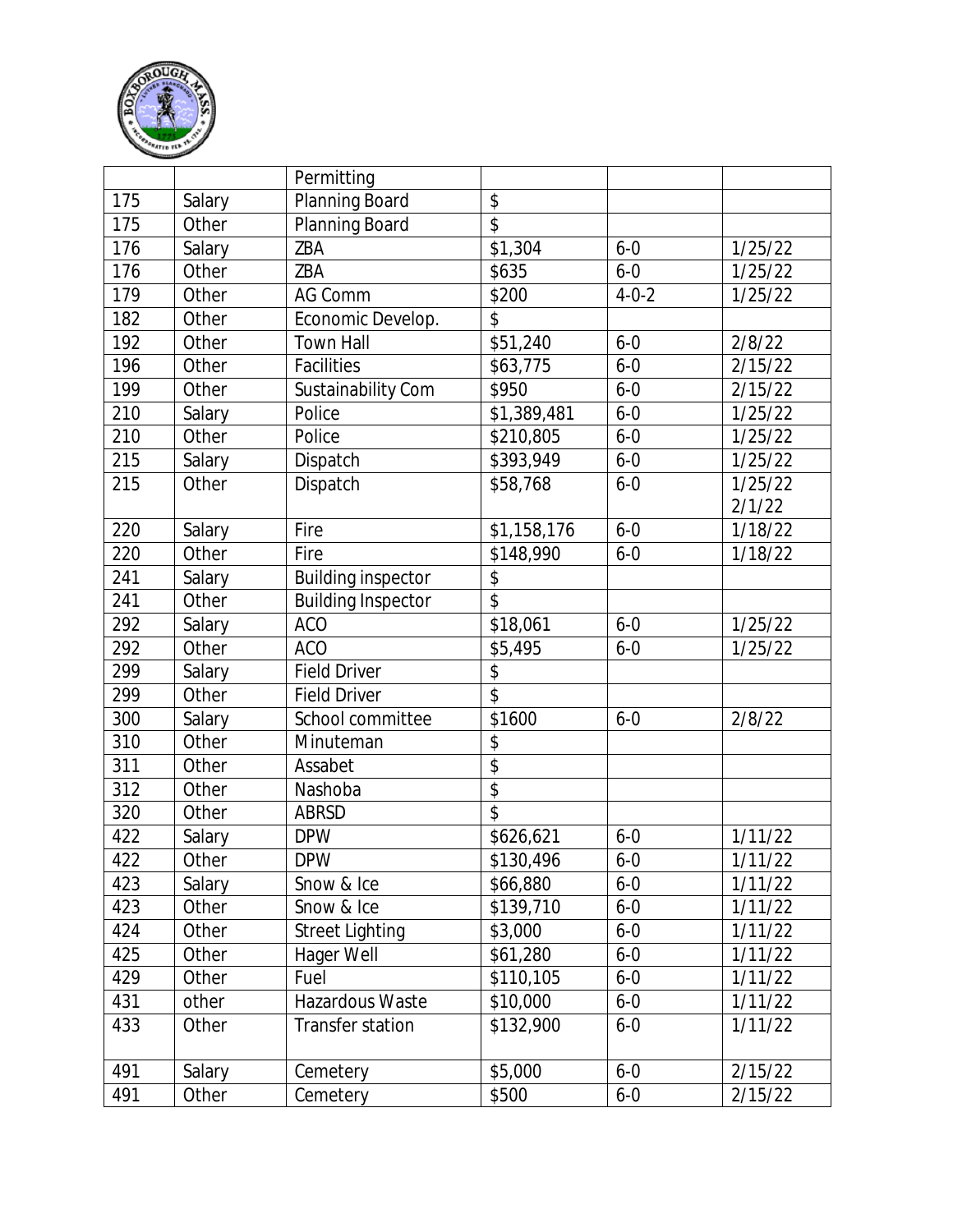

|     |        | Permitting                |                          |             |         |
|-----|--------|---------------------------|--------------------------|-------------|---------|
| 175 | Salary | Planning Board            | \$                       |             |         |
| 175 | Other  | Planning Board            | $\overline{\mathcal{S}}$ |             |         |
| 176 | Salary | ZBA                       | \$1,304                  | $6 - 0$     | 1/25/22 |
| 176 | Other  | ZBA                       | \$635                    | $6 - 0$     | 1/25/22 |
| 179 | Other  | <b>AG Comm</b>            | \$200                    | $4 - 0 - 2$ | 1/25/22 |
| 182 | Other  | Economic Develop.         | \$                       |             |         |
| 192 | Other  | <b>Town Hall</b>          | \$51,240                 | $6 - 0$     | 2/8/22  |
| 196 | Other  | Facilities                | \$63,775                 | $6 - 0$     | 2/15/22 |
| 199 | Other  | Sustainability Com        | \$950                    | $6 - 0$     | 2/15/22 |
| 210 | Salary | Police                    | \$1,389,481              | $6 - 0$     | 1/25/22 |
| 210 | Other  | Police                    | \$210,805                | $6 - 0$     | 1/25/22 |
| 215 | Salary | Dispatch                  | \$393,949                | $6 - 0$     | 1/25/22 |
| 215 | Other  | Dispatch                  | \$58,768                 | $6 - 0$     | 1/25/22 |
|     |        |                           |                          |             | 2/1/22  |
| 220 | Salary | Fire                      | \$1,158,176              | $6 - 0$     | 1/18/22 |
| 220 | Other  | Fire                      | \$148,990                | $6 - 0$     | 1/18/22 |
| 241 | Salary | <b>Building inspector</b> | \$                       |             |         |
| 241 | Other  | <b>Building Inspector</b> | $\hat{S}$                |             |         |
| 292 | Salary | <b>ACO</b>                | \$18,061                 | $6 - 0$     | 1/25/22 |
| 292 | Other  | <b>ACO</b>                | \$5,495                  | $6 - 0$     | 1/25/22 |
| 299 | Salary | <b>Field Driver</b>       | \$                       |             |         |
| 299 | Other  | <b>Field Driver</b>       | $\overline{\$}$          |             |         |
| 300 | Salary | School committee          | \$1600                   | $6 - 0$     | 2/8/22  |
| 310 | Other  | Minuteman                 | \$                       |             |         |
| 311 | Other  | Assabet                   | $\overline{\$}$          |             |         |
| 312 | Other  | Nashoba                   | \$                       |             |         |
| 320 | Other  | <b>ABRSD</b>              | \$                       |             |         |
| 422 | Salary | <b>DPW</b>                | \$626,621                | $6 - 0$     | 1/11/22 |
| 422 | Other  | <b>DPW</b>                | \$130,496                | $6 - 0$     | 1/11/22 |
| 423 | Salary | Snow & Ice                | \$66,880                 | $6 - 0$     | 1/11/22 |
| 423 | Other  | Snow & Ice                | \$139,710                | $6-0$       | 1/11/22 |
| 424 | Other  | <b>Street Lighting</b>    | \$3,000                  | $6 - 0$     | 1/11/22 |
| 425 | Other  | Hager Well                | \$61,280                 | $6 - 0$     | 1/11/22 |
| 429 | Other  | Fuel                      | \$110,105                | $6 - 0$     | 1/11/22 |
| 431 | other  | Hazardous Waste           | \$10,000                 | $6 - 0$     | 1/11/22 |
| 433 | Other  | Transfer station          | \$132,900                | $6 - 0$     | 1/11/22 |
|     |        |                           |                          |             |         |
| 491 | Salary | Cemetery                  | \$5,000                  | $6 - 0$     | 2/15/22 |
| 491 | Other  | Cemetery                  | \$500                    | $6 - 0$     | 2/15/22 |